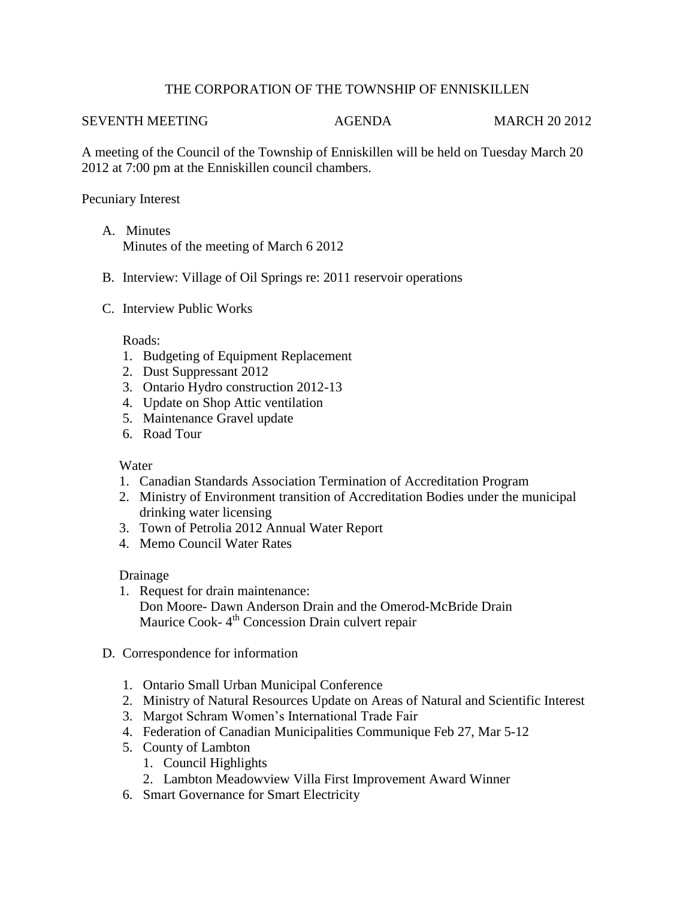# THE CORPORATION OF THE TOWNSHIP OF ENNISKILLEN

#### SEVENTH MEETING AGENDA MARCH 20 2012

A meeting of the Council of the Township of Enniskillen will be held on Tuesday March 20 2012 at 7:00 pm at the Enniskillen council chambers.

## Pecuniary Interest

- A. Minutes Minutes of the meeting of March 6 2012
- B. Interview: Village of Oil Springs re: 2011 reservoir operations
- C. Interview Public Works

### Roads:

- 1. Budgeting of Equipment Replacement
- 2. Dust Suppressant 2012
- 3. Ontario Hydro construction 2012-13
- 4. Update on Shop Attic ventilation
- 5. Maintenance Gravel update
- 6. Road Tour

### **Water**

- 1. Canadian Standards Association Termination of Accreditation Program
- 2. Ministry of Environment transition of Accreditation Bodies under the municipal drinking water licensing
- 3. Town of Petrolia 2012 Annual Water Report
- 4. Memo Council Water Rates

### Drainage

- 1. Request for drain maintenance: Don Moore- Dawn Anderson Drain and the Omerod-McBride Drain Maurice Cook-4<sup>th</sup> Concession Drain culvert repair
- D. Correspondence for information
	- 1. Ontario Small Urban Municipal Conference
	- 2. Ministry of Natural Resources Update on Areas of Natural and Scientific Interest
	- 3. Margot Schram Women's International Trade Fair
	- 4. Federation of Canadian Municipalities Communique Feb 27, Mar 5-12
	- 5. County of Lambton
		- 1. Council Highlights
		- 2. Lambton Meadowview Villa First Improvement Award Winner
	- 6. Smart Governance for Smart Electricity